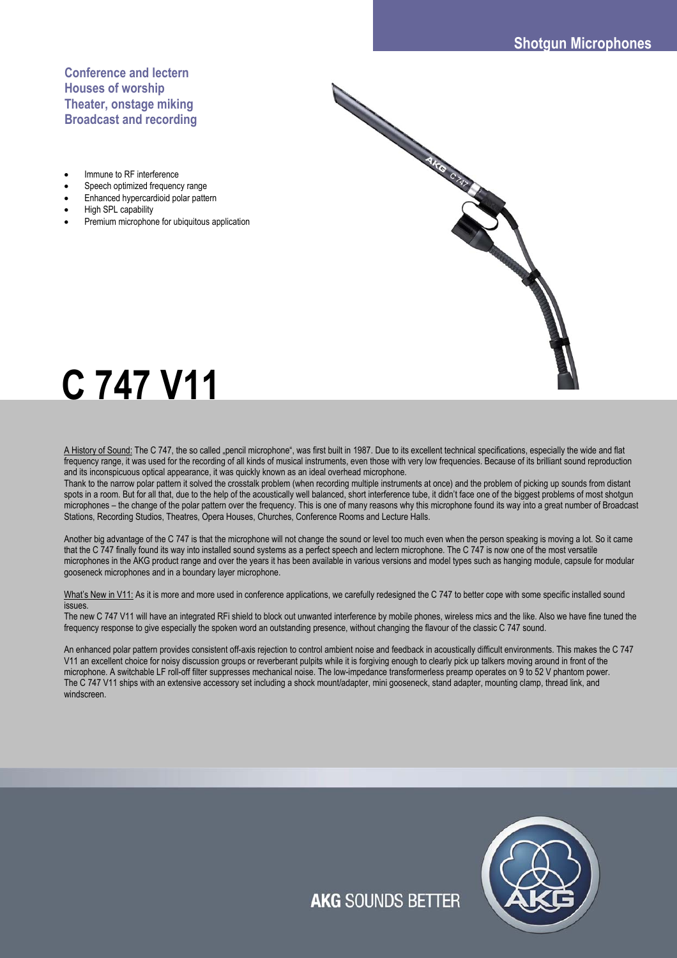Change of the contract of

# **Conference and lectern Houses of worship Theater, onstage miking Broadcast and recording**

- Immune to RF interference
- Speech optimized frequency range
- Enhanced hypercardioid polar pattern
- High SPL capability
- Premium microphone for ubiquitous application

# **C 747 V11**

A History of Sound: The C 747, the so called "pencil microphone", was first built in 1987. Due to its excellent technical specifications, especially the wide and flat frequency range, it was used for the recording of all kinds of musical instruments, even those with very low frequencies. Because of its brilliant sound reproduction and its inconspicuous optical appearance, it was quickly known as an ideal overhead microphone.

Change of the Children

Thank to the narrow polar pattern it solved the crosstalk problem (when recording multiple instruments at once) and the problem of picking up sounds from distant spots in a room. But for all that, due to the help of the acoustically well balanced, short interference tube, it didn't face one of the biggest problems of most shotgun microphones – the change of the polar pattern over the frequency. This is one of many reasons why this microphone found its way into a great number of Broadcast Stations, Recording Studios, Theatres, Opera Houses, Churches, Conference Rooms and Lecture Halls.

Another big advantage of the C 747 is that the microphone will not change the sound or level too much even when the person speaking is moving a lot. So it came that the C 747 finally found its way into installed sound systems as a perfect speech and lectern microphone. The C 747 is now one of the most versatile microphones in the AKG product range and over the years it has been available in various versions and model types such as hanging module, capsule for modular gooseneck microphones and in a boundary layer microphone.

What's New in V11: As it is more and more used in conference applications, we carefully redesigned the C 747 to better cope with some specific installed sound issues.

The new C 747 V11 will have an integrated RFi shield to block out unwanted interference by mobile phones, wireless mics and the like. Also we have fine tuned the frequency response to give especially the spoken word an outstanding presence, without changing the flavour of the classic C 747 sound.

An enhanced polar pattern provides consistent off-axis rejection to control ambient noise and feedback in acoustically difficult environments. This makes the C 747 V11 an excellent choice for noisy discussion groups or reverberant pulpits while it is forgiving enough to clearly pick up talkers moving around in front of the microphone. A switchable LF roll-off filter suppresses mechanical noise. The low-impedance transformerless preamp operates on 9 to 52 V phantom power. The C 747 V11 ships with an extensive accessory set including a shock mount/adapter, mini gooseneck, stand adapter, mounting clamp, thread link, and windscreen.



**AKG SOUNDS BETTER**